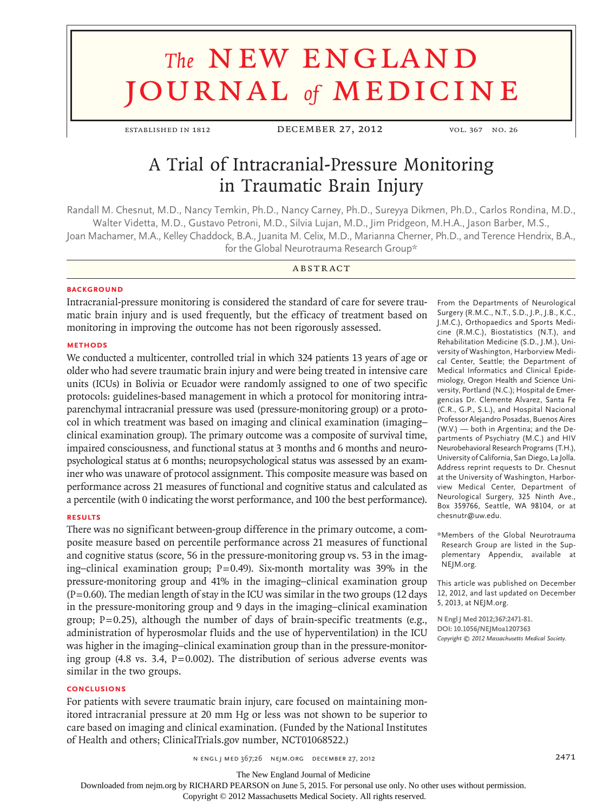# **The NEW ENGLAND** journal *of* medicine

ESTABLISHED IN 1812 **DECEMBER 27, 2012** vol. 367 no. 26

# A Trial of Intracranial-Pressure Monitoring in Traumatic Brain Injury

Randall M. Chesnut, M.D., Nancy Temkin, Ph.D., Nancy Carney, Ph.D., Sureyya Dikmen, Ph.D., Carlos Rondina, M.D., Walter Videtta, M.D., Gustavo Petroni, M.D., Silvia Lujan, M.D., Jim Pridgeon, M.H.A., Jason Barber, M.S.,

Joan Machamer, M.A., Kelley Chaddock, B.A., Juanita M. Celix, M.D., Marianna Cherner, Ph.D., and Terence Hendrix, B.A., for the Global Neurotrauma Research Group\*

**ABSTRACT** 

#### **BACKGROUND**

Intracranial-pressure monitoring is considered the standard of care for severe traumatic brain injury and is used frequently, but the efficacy of treatment based on monitoring in improving the outcome has not been rigorously assessed.

#### **Methods**

We conducted a multicenter, controlled trial in which 324 patients 13 years of age or older who had severe traumatic brain injury and were being treated in intensive care units (ICUs) in Bolivia or Ecuador were randomly assigned to one of two specific protocols: guidelines-based management in which a protocol for monitoring intraparenchymal intracranial pressure was used (pressure-monitoring group) or a protocol in which treatment was based on imaging and clinical examination (imaging– clinical examination group). The primary outcome was a composite of survival time, impaired consciousness, and functional status at 3 months and 6 months and neuropsychological status at 6 months; neuropsychological status was assessed by an examiner who was unaware of protocol assignment. This composite measure was based on performance across 21 measures of functional and cognitive status and calculated as a percentile (with 0 indicating the worst performance, and 100 the best performance).

#### **Results**

There was no significant between-group difference in the primary outcome, a composite measure based on percentile performance across 21 measures of functional and cognitive status (score, 56 in the pressure-monitoring group vs. 53 in the imaging–clinical examination group;  $P=0.49$ ). Six-month mortality was 39% in the pressure-monitoring group and 41% in the imaging–clinical examination group  $(P=0.60)$ . The median length of stay in the ICU was similar in the two groups (12 days in the pressure-monitoring group and 9 days in the imaging–clinical examination group;  $P=0.25$ ), although the number of days of brain-specific treatments (e.g., administration of hyperosmolar fluids and the use of hyperventilation) in the ICU was higher in the imaging–clinical examination group than in the pressure-monitoring group (4.8 vs. 3.4,  $P=0.002$ ). The distribution of serious adverse events was similar in the two groups.

#### **Conclusions**

For patients with severe traumatic brain injury, care focused on maintaining monitored intracranial pressure at 20 mm Hg or less was not shown to be superior to care based on imaging and clinical examination. (Funded by the National Institutes of Health and others; ClinicalTrials.gov number, NCT01068522.)

From the Departments of Neurological Surgery (R.M.C., N.T., S.D., J.P., J.B., K.C., J.M.C.), Orthopaedics and Sports Medicine (R.M.C.), Biostatistics (N.T.), and Rehabilitation Medicine (S.D., J.M.), University of Washington, Harborview Medical Center, Seattle; the Department of Medical Informatics and Clinical Epidemiology, Oregon Health and Science University, Portland (N.C.); Hospital de Emergencias Dr. Clemente Alvarez, Santa Fe (C.R., G.P., S.L.), and Hospital Nacional Professor Alejandro Posadas, Buenos Aires (W.V.) — both in Argentina; and the Departments of Psychiatry (M.C.) and HIV Neurobehavioral Research Programs (T.H.), University of California, San Diego, La Jolla. Address reprint requests to Dr. Chesnut at the University of Washington, Harborview Medical Center, Department of Neurological Surgery, 325 Ninth Ave., Box 359766, Seattle, WA 98104, or at chesnutr@uw.edu.

\*Members of the Global Neurotrauma Research Group are listed in the Supplementary Appendix, available at NEJM.org.

This article was published on December 12, 2012, and last updated on December 5, 2013, at NEJM.org.

**N Engl J Med 2012;367:2471-81. DOI: 10.1056/NEJMoa1207363** *Copyright © 2012 Massachusetts Medical Society.*

n engl j med 367;26 nejm.org december 27, 2012 2471

The New England Journal of Medicine

Downloaded from nejm.org by RICHARD PEARSON on June 5, 2015. For personal use only. No other uses without permission.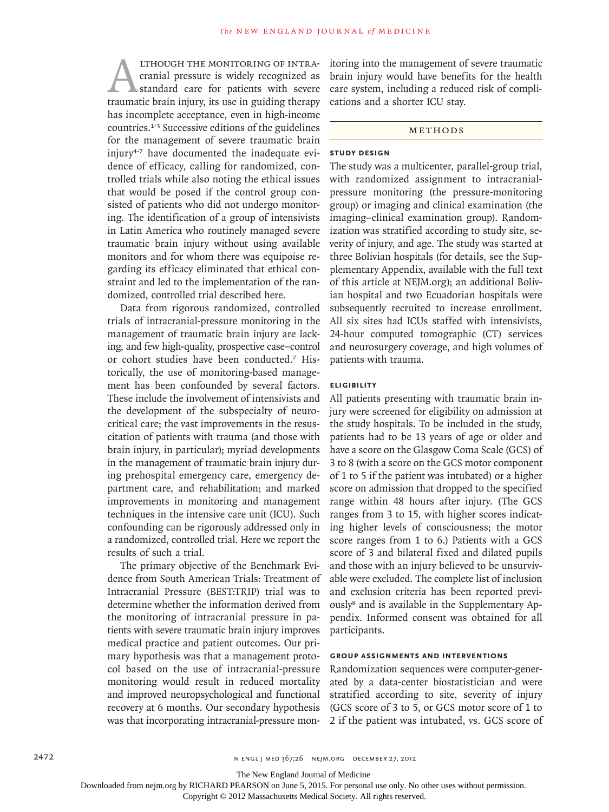ALTHOUGH THE MONITORING OF INTRA-<br>cranial pressure is widely recognized as<br>traumatic brain injury, its use in guiding therapy cranial pressure is widely recognized as standard care for patients with severe has incomplete acceptance, even in high-income countries.1-3 Successive editions of the guidelines for the management of severe traumatic brain injury4-7 have documented the inadequate evidence of efficacy, calling for randomized, controlled trials while also noting the ethical issues that would be posed if the control group consisted of patients who did not undergo monitoring. The identification of a group of intensivists in Latin America who routinely managed severe traumatic brain injury without using available monitors and for whom there was equipoise regarding its efficacy eliminated that ethical constraint and led to the implementation of the randomized, controlled trial described here.

Data from rigorous randomized, controlled trials of intracranial-pressure monitoring in the management of traumatic brain injury are lacking, and few high-quality, prospective case–control or cohort studies have been conducted.7 Historically, the use of monitoring-based management has been confounded by several factors. These include the involvement of intensivists and the development of the subspecialty of neurocritical care; the vast improvements in the resuscitation of patients with trauma (and those with brain injury, in particular); myriad developments in the management of traumatic brain injury during prehospital emergency care, emergency department care, and rehabilitation; and marked improvements in monitoring and management techniques in the intensive care unit (ICU). Such confounding can be rigorously addressed only in a randomized, controlled trial. Here we report the results of such a trial.

The primary objective of the Benchmark Evidence from South American Trials: Treatment of Intracranial Pressure (BEST:TRIP) trial was to determine whether the information derived from the monitoring of intracranial pressure in patients with severe traumatic brain injury improves medical practice and patient outcomes. Our primary hypothesis was that a management protocol based on the use of intracranial-pressure monitoring would result in reduced mortality and improved neuropsychological and functional recovery at 6 months. Our secondary hypothesis was that incorporating intracranial-pressure monitoring into the management of severe traumatic brain injury would have benefits for the health care system, including a reduced risk of complications and a shorter ICU stay.

#### METHODS

# **Study Design**

The study was a multicenter, parallel-group trial, with randomized assignment to intracranialpressure monitoring (the pressure-monitoring group) or imaging and clinical examination (the imaging–clinical examination group). Randomization was stratified according to study site, severity of injury, and age. The study was started at three Bolivian hospitals (for details, see the Supplementary Appendix, available with the full text of this article at NEJM.org); an additional Bolivian hospital and two Ecuadorian hospitals were subsequently recruited to increase enrollment. All six sites had ICUs staffed with intensivists, 24-hour computed tomographic (CT) services and neurosurgery coverage, and high volumes of patients with trauma.

# **Eligibility**

All patients presenting with traumatic brain injury were screened for eligibility on admission at the study hospitals. To be included in the study, patients had to be 13 years of age or older and have a score on the Glasgow Coma Scale (GCS) of 3 to 8 (with a score on the GCS motor component of 1 to 5 if the patient was intubated) or a higher score on admission that dropped to the specified range within 48 hours after injury. (The GCS ranges from 3 to 15, with higher scores indicating higher levels of consciousness; the motor score ranges from 1 to 6.) Patients with a GCS score of 3 and bilateral fixed and dilated pupils and those with an injury believed to be unsurvivable were excluded. The complete list of inclusion and exclusion criteria has been reported previously8 and is available in the Supplementary Appendix. Informed consent was obtained for all participants.

#### **Group Assignments and Interventions**

Randomization sequences were computer-generated by a data-center biostatistician and were stratified according to site, severity of injury (GCS score of 3 to 5, or GCS motor score of 1 to 2 if the patient was intubated, vs. GCS score of

The New England Journal of Medicine

Downloaded from nejm.org by RICHARD PEARSON on June 5, 2015. For personal use only. No other uses without permission.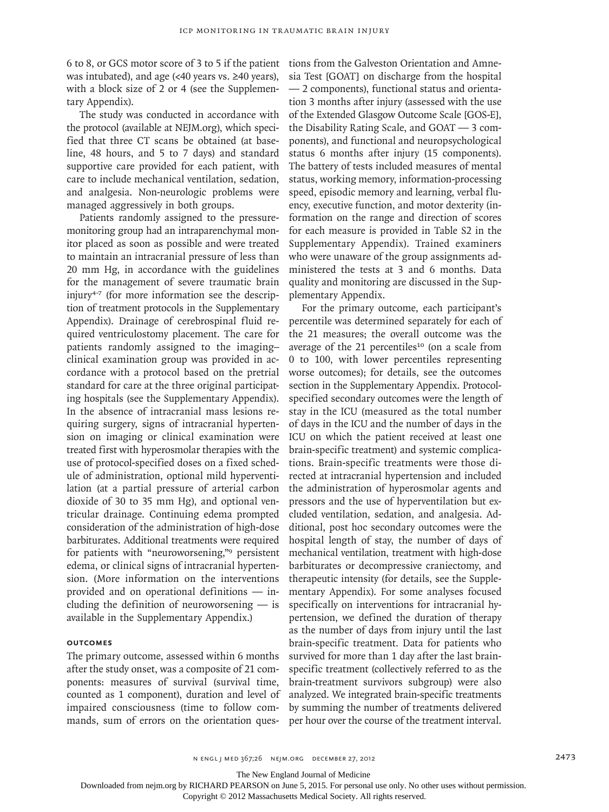6 to 8, or GCS motor score of 3 to 5 if the patient was intubated), and age (<40 years vs. ≥40 years), with a block size of 2 or 4 (see the Supplementary Appendix).

The study was conducted in accordance with the protocol (available at NEJM.org), which specified that three CT scans be obtained (at baseline, 48 hours, and 5 to 7 days) and standard supportive care provided for each patient, with care to include mechanical ventilation, sedation, and analgesia. Non-neurologic problems were managed aggressively in both groups.

Patients randomly assigned to the pressuremonitoring group had an intraparenchymal monitor placed as soon as possible and were treated to maintain an intracranial pressure of less than 20 mm Hg, in accordance with the guidelines for the management of severe traumatic brain injury4-7 (for more information see the description of treatment protocols in the Supplementary Appendix). Drainage of cerebrospinal fluid required ventriculostomy placement. The care for patients randomly assigned to the imaging– clinical examination group was provided in accordance with a protocol based on the pretrial standard for care at the three original participating hospitals (see the Supplementary Appendix). In the absence of intracranial mass lesions requiring surgery, signs of intracranial hypertension on imaging or clinical examination were treated first with hyperosmolar therapies with the use of protocol-specified doses on a fixed schedule of administration, optional mild hyperventilation (at a partial pressure of arterial carbon dioxide of 30 to 35 mm Hg), and optional ventricular drainage. Continuing edema prompted consideration of the administration of high-dose barbiturates. Additional treatments were required for patients with "neuroworsening,"9 persistent edema, or clinical signs of intracranial hypertension. (More information on the interventions provided and on operational definitions — including the definition of neuroworsening — is available in the Supplementary Appendix.)

# **Outcomes**

The primary outcome, assessed within 6 months after the study onset, was a composite of 21 components: measures of survival (survival time, counted as 1 component), duration and level of impaired consciousness (time to follow commands, sum of errors on the orientation ques-

tions from the Galveston Orientation and Amnesia Test [GOAT] on discharge from the hospital — 2 components), functional status and orientation 3 months after injury (assessed with the use of the Extended Glasgow Outcome Scale [GOS-E], the Disability Rating Scale, and GOAT — 3 components), and functional and neuropsychological status 6 months after injury (15 components). The battery of tests included measures of mental status, working memory, information-processing speed, episodic memory and learning, verbal fluency, executive function, and motor dexterity (information on the range and direction of scores for each measure is provided in Table S2 in the Supplementary Appendix). Trained examiners who were unaware of the group assignments administered the tests at 3 and 6 months. Data quality and monitoring are discussed in the Supplementary Appendix.

For the primary outcome, each participant's percentile was determined separately for each of the 21 measures; the overall outcome was the average of the 21 percentiles<sup>10</sup> (on a scale from 0 to 100, with lower percentiles representing worse outcomes); for details, see the outcomes section in the Supplementary Appendix. Protocolspecified secondary outcomes were the length of stay in the ICU (measured as the total number of days in the ICU and the number of days in the ICU on which the patient received at least one brain-specific treatment) and systemic complications. Brain-specific treatments were those directed at intracranial hypertension and included the administration of hyperosmolar agents and pressors and the use of hyperventilation but excluded ventilation, sedation, and analgesia. Additional, post hoc secondary outcomes were the hospital length of stay, the number of days of mechanical ventilation, treatment with high-dose barbiturates or decompressive craniectomy, and therapeutic intensity (for details, see the Supplementary Appendix). For some analyses focused specifically on interventions for intracranial hypertension, we defined the duration of therapy as the number of days from injury until the last brain-specific treatment. Data for patients who survived for more than 1 day after the last brainspecific treatment (collectively referred to as the brain-treatment survivors subgroup) were also analyzed. We integrated brain-specific treatments by summing the number of treatments delivered per hour over the course of the treatment interval.

n engl j med 367;26 nejm.org december 27, 2012 2473

The New England Journal of Medicine

Downloaded from nejm.org by RICHARD PEARSON on June 5, 2015. For personal use only. No other uses without permission.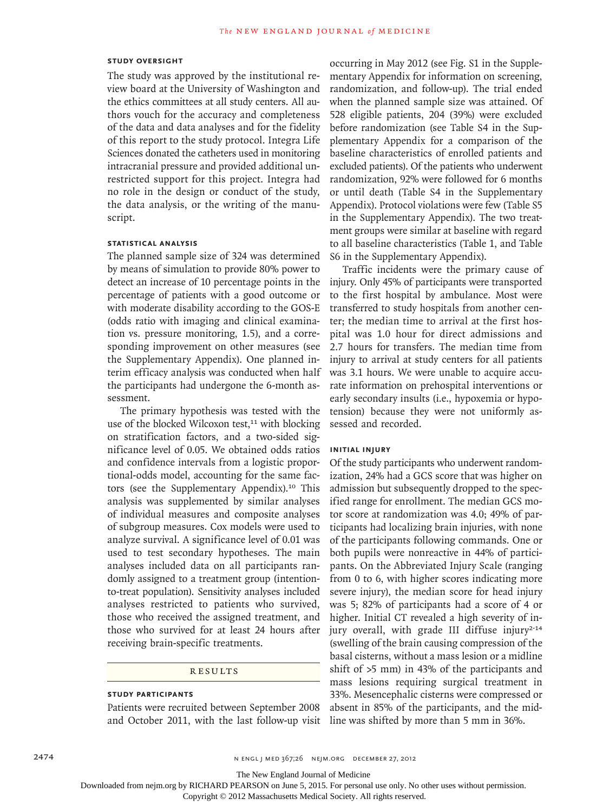#### **Study Oversight**

The study was approved by the institutional review board at the University of Washington and the ethics committees at all study centers. All authors vouch for the accuracy and completeness of the data and data analyses and for the fidelity of this report to the study protocol. Integra Life Sciences donated the catheters used in monitoring intracranial pressure and provided additional unrestricted support for this project. Integra had no role in the design or conduct of the study, the data analysis, or the writing of the manuscript.

# **Statistical Analysis**

The planned sample size of 324 was determined by means of simulation to provide 80% power to detect an increase of 10 percentage points in the percentage of patients with a good outcome or with moderate disability according to the GOS-E (odds ratio with imaging and clinical examination vs. pressure monitoring, 1.5), and a corresponding improvement on other measures (see the Supplementary Appendix). One planned interim efficacy analysis was conducted when half the participants had undergone the 6-month assessment.

The primary hypothesis was tested with the use of the blocked Wilcoxon test,<sup>11</sup> with blocking on stratification factors, and a two-sided significance level of 0.05. We obtained odds ratios and confidence intervals from a logistic proportional-odds model, accounting for the same factors (see the Supplementary Appendix).<sup>10</sup> This analysis was supplemented by similar analyses of individual measures and composite analyses of subgroup measures. Cox models were used to analyze survival. A significance level of 0.01 was used to test secondary hypotheses. The main analyses included data on all participants randomly assigned to a treatment group (intentionto-treat population). Sensitivity analyses included analyses restricted to patients who survived, those who received the assigned treatment, and those who survived for at least 24 hours after receiving brain-specific treatments.

# **RESULTS**

# **Study Participants**

Patients were recruited between September 2008 and October 2011, with the last follow-up visit occurring in May 2012 (see Fig. S1 in the Supplementary Appendix for information on screening, randomization, and follow-up). The trial ended when the planned sample size was attained. Of 528 eligible patients, 204 (39%) were excluded before randomization (see Table S4 in the Supplementary Appendix for a comparison of the baseline characteristics of enrolled patients and excluded patients). Of the patients who underwent randomization, 92% were followed for 6 months or until death (Table S4 in the Supplementary Appendix). Protocol violations were few (Table S5 in the Supplementary Appendix). The two treatment groups were similar at baseline with regard to all baseline characteristics (Table 1, and Table S6 in the Supplementary Appendix).

Traffic incidents were the primary cause of injury. Only 45% of participants were transported to the first hospital by ambulance. Most were transferred to study hospitals from another center; the median time to arrival at the first hospital was 1.0 hour for direct admissions and 2.7 hours for transfers. The median time from injury to arrival at study centers for all patients was 3.1 hours. We were unable to acquire accurate information on prehospital interventions or early secondary insults (i.e., hypoxemia or hypotension) because they were not uniformly assessed and recorded.

#### **Initial Injury**

Of the study participants who underwent randomization, 24% had a GCS score that was higher on admission but subsequently dropped to the specified range for enrollment. The median GCS motor score at randomization was 4.0; 49% of participants had localizing brain injuries, with none of the participants following commands. One or both pupils were nonreactive in 44% of participants. On the Abbreviated Injury Scale (ranging from 0 to 6, with higher scores indicating more severe injury), the median score for head injury was 5; 82% of participants had a score of 4 or higher. Initial CT revealed a high severity of injury overall, with grade III diffuse injury<sup>2-14</sup> (swelling of the brain causing compression of the basal cisterns, without a mass lesion or a midline shift of >5 mm) in 43% of the participants and mass lesions requiring surgical treatment in 33%. Mesencephalic cisterns were compressed or absent in 85% of the participants, and the midline was shifted by more than 5 mm in 36%.

The New England Journal of Medicine

Downloaded from nejm.org by RICHARD PEARSON on June 5, 2015. For personal use only. No other uses without permission.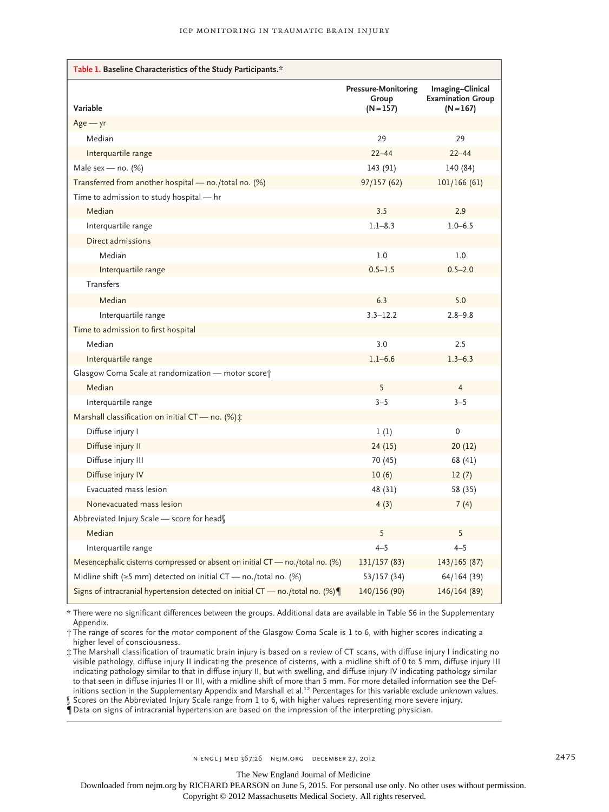| Table 1. Baseline Characteristics of the Study Participants.*                   |                                                    |                                                             |  |
|---------------------------------------------------------------------------------|----------------------------------------------------|-------------------------------------------------------------|--|
| Variable                                                                        | <b>Pressure-Monitoring</b><br>Group<br>$(N = 157)$ | Imaging-Clinical<br><b>Examination Group</b><br>$(N = 167)$ |  |
| $Age - yr$                                                                      |                                                    |                                                             |  |
| Median                                                                          | 29                                                 | 29                                                          |  |
| Interquartile range                                                             | $22 - 44$                                          | $22 - 44$                                                   |  |
| Male sex - no. $(%)$                                                            | 143 (91)                                           | 140 (84)                                                    |  |
| Transferred from another hospital - no./total no. (%)                           | 97/157(62)                                         | 101/166(61)                                                 |  |
| Time to admission to study hospital - hr                                        |                                                    |                                                             |  |
| Median                                                                          | 3.5                                                | 2.9                                                         |  |
| Interquartile range                                                             | $1.1 - 8.3$                                        | $1.0 - 6.5$                                                 |  |
| Direct admissions                                                               |                                                    |                                                             |  |
| Median                                                                          | 1.0                                                | 1.0                                                         |  |
| Interquartile range                                                             | $0.5 - 1.5$                                        | $0.5 - 2.0$                                                 |  |
| <b>Transfers</b>                                                                |                                                    |                                                             |  |
| Median                                                                          | 6.3                                                | 5.0                                                         |  |
| Interquartile range                                                             | $3.3 - 12.2$                                       | $2.8 - 9.8$                                                 |  |
| Time to admission to first hospital                                             |                                                    |                                                             |  |
| Median                                                                          | 3.0                                                | 2.5                                                         |  |
| Interquartile range                                                             | $1.1 - 6.6$                                        | $1.3 - 6.3$                                                 |  |
| Glasgow Coma Scale at randomization - motor score;                              |                                                    |                                                             |  |
| Median                                                                          | 5                                                  | $\overline{4}$                                              |  |
| Interquartile range                                                             | $3 - 5$                                            | $3 - 5$                                                     |  |
| Marshall classification on initial CT - no. (%) $\ddagger$                      |                                                    |                                                             |  |
| Diffuse injury I                                                                | 1(1)                                               | $\Omega$                                                    |  |
| Diffuse injury II                                                               | 24 (15)                                            | 20(12)                                                      |  |
| Diffuse injury III                                                              | 70 (45)                                            | 68 (41)                                                     |  |
| Diffuse injury IV                                                               | 10(6)                                              | 12(7)                                                       |  |
| Evacuated mass lesion                                                           | 48 (31)                                            | 58 (35)                                                     |  |
| Nonevacuated mass lesion                                                        | 4(3)                                               | 7(4)                                                        |  |
| Abbreviated Injury Scale - score for head                                       |                                                    |                                                             |  |
| Median                                                                          | 5                                                  | 5                                                           |  |
| Interquartile range                                                             | $4 - 5$                                            | $4 - 5$                                                     |  |
| Mesencephalic cisterns compressed or absent on initial $CT$ - no./total no. (%) | 131/157 (83)                                       | 143/165 (87)                                                |  |
| Midline shift ( $\ge$ 5 mm) detected on initial CT — no./total no. (%)          | 53/157 (34)                                        | 64/164 (39)                                                 |  |
| Signs of intracranial hypertension detected on initial $CT$ no./total no. (%)   | 140/156 (90)                                       | 146/164 (89)                                                |  |

\* There were no significant differences between the groups. Additional data are available in Table S6 in the Supplementary Appendix.

† The range of scores for the motor component of the Glasgow Coma Scale is 1 to 6, with higher scores indicating a higher level of consciousness.

‡ The Marshall classification of traumatic brain injury is based on a review of CT scans, with diffuse injury I indicating no visible pathology, diffuse injury II indicating the presence of cisterns, with a midline shift of 0 to 5 mm, diffuse injury III indicating pathology similar to that in diffuse injury II, but with swelling, and diffuse injury IV indicating pathology similar to that seen in diffuse injuries II or III, with a midline shift of more than 5 mm. For more detailed information see the Definitions section in the Supplementary Appendix and Marshall et al.<sup>12</sup> Percentages for this variable exclude unknown values.

§ Scores on the Abbreviated Injury Scale range from 1 to 6, with higher values representing more severe injury.

¶Data on signs of intracranial hypertension are based on the impression of the interpreting physician.

The New England Journal of Medicine

Downloaded from nejm.org by RICHARD PEARSON on June 5, 2015. For personal use only. No other uses without permission.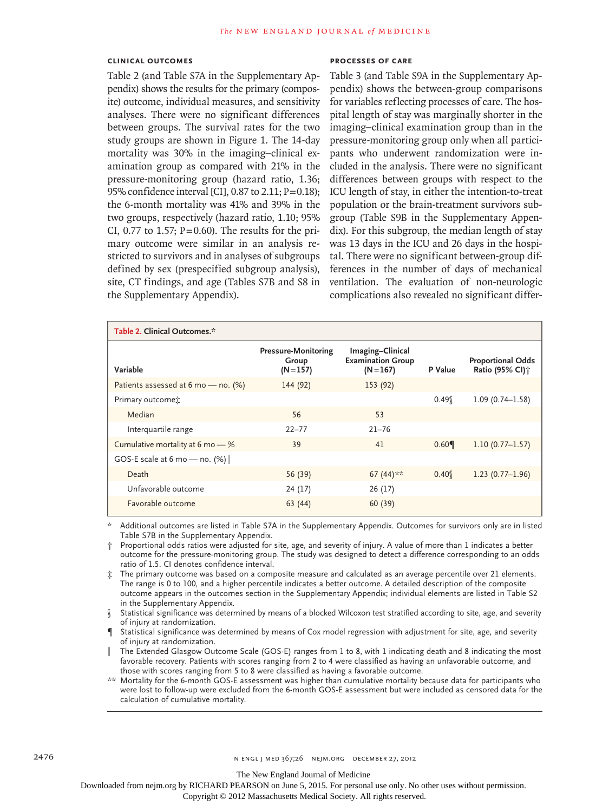#### **Clinical Outcomes**

Table 2 (and Table S7A in the Supplementary Appendix) shows the results for the primary (composite) outcome, individual measures, and sensitivity analyses. There were no significant differences between groups. The survival rates for the two study groups are shown in Figure 1. The 14-day mortality was 30% in the imaging–clinical examination group as compared with 21% in the pressure-monitoring group (hazard ratio, 1.36; 95% confidence interval [CI], 0.87 to 2.11; P=0.18); the 6-month mortality was 41% and 39% in the two groups, respectively (hazard ratio, 1.10; 95% CI, 0.77 to 1.57;  $P=0.60$ ). The results for the primary outcome were similar in an analysis restricted to survivors and in analyses of subgroups defined by sex (prespecified subgroup analysis), site, CT findings, and age (Tables S7B and S8 in the Supplementary Appendix).

#### **Processes of Care**

Table 3 (and Table S9A in the Supplementary Appendix) shows the between-group comparisons for variables reflecting processes of care. The hospital length of stay was marginally shorter in the imaging–clinical examination group than in the pressure-monitoring group only when all participants who underwent randomization were included in the analysis. There were no significant differences between groups with respect to the ICU length of stay, in either the intention-to-treat population or the brain-treatment survivors subgroup (Table S9B in the Supplementary Appendix). For this subgroup, the median length of stay was 13 days in the ICU and 26 days in the hospital. There were no significant between-group differences in the number of days of mechanical ventilation. The evaluation of non-neurologic complications also revealed no significant differ-

| Table 2. Clinical Outcomes.*        |                                                    |                                                             |         |                                              |
|-------------------------------------|----------------------------------------------------|-------------------------------------------------------------|---------|----------------------------------------------|
| Variable                            | <b>Pressure-Monitoring</b><br>Group<br>$(N = 157)$ | Imaging-Clinical<br><b>Examination Group</b><br>$(N = 167)$ | P Value | <b>Proportional Odds</b><br>Ratio (95% CI) ; |
| Patients assessed at 6 mo - no. (%) | 144 (92)                                           | 153 (92)                                                    |         |                                              |
| Primary outcome:                    |                                                    |                                                             | 0.49    | $1.09(0.74 - 1.58)$                          |
| Median                              | 56                                                 | 53                                                          |         |                                              |
| Interquartile range                 | $22 - 77$                                          | $21 - 76$                                                   |         |                                              |
| Cumulative mortality at 6 mo - %    | 39                                                 | 41                                                          | 0.60    | $1.10(0.77 - 1.57)$                          |
| GOS-E scale at 6 mo — no. $(%)$     |                                                    |                                                             |         |                                              |
| Death                               | 56 (39)                                            | 67 $(44)**$                                                 | 0.40%   | $1.23(0.77 - 1.96)$                          |
| Unfavorable outcome                 | 24 (17)                                            | 26(17)                                                      |         |                                              |
| Favorable outcome                   | 63 (44)                                            | 60(39)                                                      |         |                                              |

Additional outcomes are listed in Table S7A in the Supplementary Appendix. Outcomes for survivors only are in listed Table S7B in the Supplementary Appendix.

† Proportional odds ratios were adjusted for site, age, and severity of injury. A value of more than 1 indicates a better outcome for the pressure-monitoring group. The study was designed to detect a difference corresponding to an odds ratio of 1.5. CI denotes confidence interval.

‡ The primary outcome was based on a composite measure and calculated as an average percentile over 21 elements. The range is 0 to 100, and a higher percentile indicates a better outcome. A detailed description of the composite outcome appears in the outcomes section in the Supplementary Appendix; individual elements are listed in Table S2 in the Supplementary Appendix.

Statistical significance was determined by means of a blocked Wilcoxon test stratified according to site, age, and severity of injury at randomization.

¶ Statistical significance was determined by means of Cox model regression with adjustment for site, age, and severity of injury at randomization.

The Extended Glasgow Outcome Scale (GOS-E) ranges from 1 to 8, with 1 indicating death and 8 indicating the most favorable recovery. Patients with scores ranging from 2 to 4 were classified as having an unfavorable outcome, and those with scores ranging from 5 to 8 were classified as having a favorable outcome.

\*\* Mortality for the 6-month GOS-E assessment was higher than cumulative mortality because data for participants who were lost to follow-up were excluded from the 6-month GOS-E assessment but were included as censored data for the calculation of cumulative mortality.

The New England Journal of Medicine

Downloaded from nejm.org by RICHARD PEARSON on June 5, 2015. For personal use only. No other uses without permission.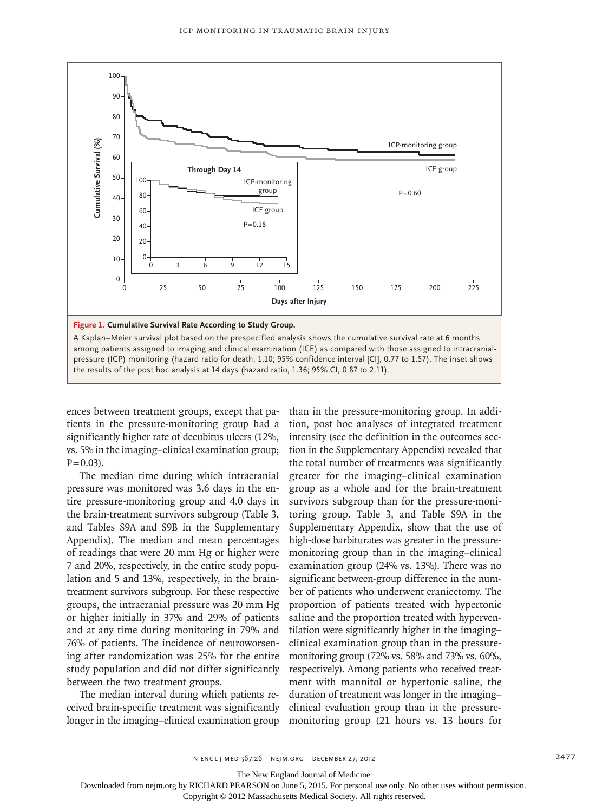

ences between treatment groups, except that patients in the pressure-monitoring group had a significantly higher rate of decubitus ulcers (12%, vs. 5% in the imaging–clinical examination group;  $P = 0.03$ ).

The median time during which intracranial pressure was monitored was 3.6 days in the entire pressure-monitoring group and 4.0 days in the brain-treatment survivors subgroup (Table 3, and Tables S9A and S9B in the Supplementary Appendix). The median and mean percentages of readings that were 20 mm Hg or higher were 7 and 20%, respectively, in the entire study population and 5 and 13%, respectively, in the braintreatment survivors subgroup. For these respective groups, the intracranial pressure was 20 mm Hg or higher initially in 37% and 29% of patients and at any time during monitoring in 79% and 76% of patients. The incidence of neuroworsening after randomization was 25% for the entire study population and did not differ significantly between the two treatment groups.

The median interval during which patients received brain-specific treatment was significantly longer in the imaging–clinical examination group than in the pressure-monitoring group. In addition, post hoc analyses of integrated treatment intensity (see the definition in the outcomes section in the Supplementary Appendix) revealed that the total number of treatments was significantly greater for the imaging–clinical examination group as a whole and for the brain-treatment survivors subgroup than for the pressure-monitoring group. Table 3, and Table S9A in the Supplementary Appendix, show that the use of high-dose barbiturates was greater in the pressuremonitoring group than in the imaging–clinical examination group (24% vs. 13%). There was no significant between-group difference in the number of patients who underwent craniectomy. The proportion of patients treated with hypertonic saline and the proportion treated with hyperventilation were significantly higher in the imaging– clinical examination group than in the pressuremonitoring group (72% vs. 58% and 73% vs. 60%, respectively). Among patients who received treatment with mannitol or hypertonic saline, the duration of treatment was longer in the imaging– clinical evaluation group than in the pressuremonitoring group (21 hours vs. 13 hours for

The New England Journal of Medicine

Downloaded from nejm.org by RICHARD PEARSON on June 5, 2015. For personal use only. No other uses without permission.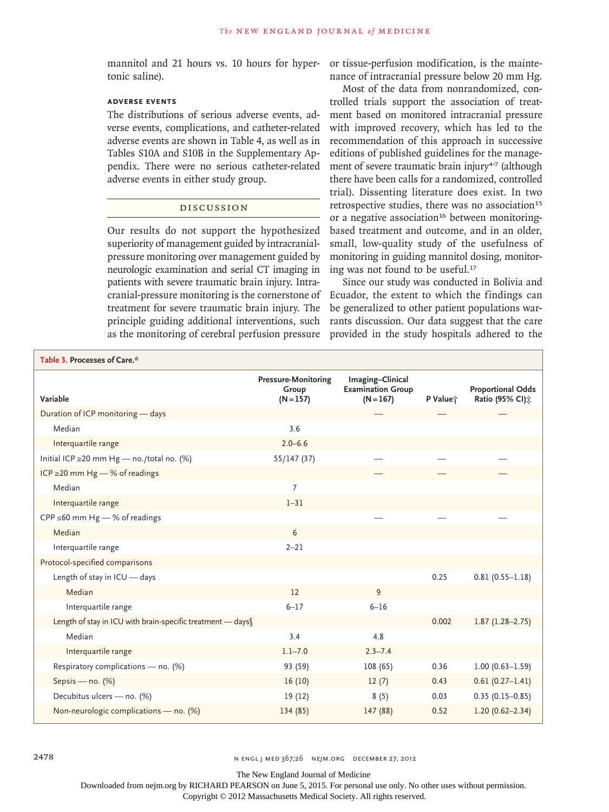mannitol and 21 hours vs. 10 hours for hypertonic saline).

# **Adverse Events**

The distributions of serious adverse events, adverse events, complications, and catheter-related adverse events are shown in Table 4, as well as in Tables S10A and S10B in the Supplementary Appendix. There were no serious catheter-related adverse events in either study group.

# Discussion

Our results do not support the hypothesized superiority of management guided by intracranialpressure monitoring over management guided by neurologic examination and serial CT imaging in patients with severe traumatic brain injury. Intracranial-pressure monitoring is the cornerstone of treatment for severe traumatic brain injury. The principle guiding additional interventions, such as the monitoring of cerebral perfusion pressure

or tissue-perfusion modification, is the maintenance of intracranial pressure below 20 mm Hg.

Most of the data from nonrandomized, controlled trials support the association of treatment based on monitored intracranial pressure with improved recovery, which has led to the recommendation of this approach in successive editions of published guidelines for the management of severe traumatic brain injury<sup>4-7</sup> (although there have been calls for a randomized, controlled trial). Dissenting literature does exist. In two retrospective studies, there was no association<sup>15</sup> or a negative association<sup>16</sup> between monitoringbased treatment and outcome, and in an older, small, low-quality study of the usefulness of monitoring in guiding mannitol dosing, monitoring was not found to be useful.<sup>17</sup>

Since our study was conducted in Bolivia and Ecuador, the extent to which the findings can be generalized to other patient populations warrants discussion. Our data suggest that the care provided in the study hospitals adhered to the

| Table 3. Processes of Care.*                               |                                                  |                                                             |          |                                             |
|------------------------------------------------------------|--------------------------------------------------|-------------------------------------------------------------|----------|---------------------------------------------|
| Variable                                                   | <b>Pressure-Monitoring</b><br>Group<br>$(N=157)$ | Imaging-Clinical<br><b>Examination Group</b><br>$(N = 167)$ | P Value; | <b>Proportional Odds</b><br>Ratio (95% CI); |
| Duration of ICP monitoring - days                          |                                                  |                                                             |          |                                             |
| Median                                                     | 3.6                                              |                                                             |          |                                             |
| Interquartile range                                        | $2.0 - 6.6$                                      |                                                             |          |                                             |
| Initial ICP ≥20 mm Hg - no./total no. (%)                  | 55/147(37)                                       |                                                             |          |                                             |
| ICP $\geq$ 20 mm Hg — % of readings                        |                                                  |                                                             |          |                                             |
| Median                                                     | $\overline{7}$                                   |                                                             |          |                                             |
| Interquartile range                                        | $1 - 31$                                         |                                                             |          |                                             |
| $CPP \le 60$ mm Hg – % of readings                         |                                                  |                                                             |          |                                             |
| Median                                                     | 6                                                |                                                             |          |                                             |
| Interquartile range                                        | $2 - 21$                                         |                                                             |          |                                             |
| Protocol-specified comparisons                             |                                                  |                                                             |          |                                             |
| Length of stay in ICU - days                               |                                                  |                                                             | 0.25     | $0.81(0.55 - 1.18)$                         |
| Median                                                     | 12                                               | 9                                                           |          |                                             |
| Interquartile range                                        | $6 - 17$                                         | $6 - 16$                                                    |          |                                             |
| Length of stay in ICU with brain-specific treatment - days |                                                  |                                                             | 0.002    | $1.87(1.28 - 2.75)$                         |
| Median                                                     | 3.4                                              | 4.8                                                         |          |                                             |
| Interquartile range                                        | $1.1 - 7.0$                                      | $2.3 - 7.4$                                                 |          |                                             |
| Respiratory complications - no. (%)                        | 93 (59)                                          | 108 (65)                                                    | 0.36     | $1.00(0.63 - 1.59)$                         |
| Sepsis - no. $(\%)$                                        | 16(10)                                           | 12(7)                                                       | 0.43     | $0.61(0.27-1.41)$                           |
| Decubitus ulcers - no. (%)                                 | 19(12)                                           | 8(5)                                                        | 0.03     | $0.35(0.15 - 0.85)$                         |
| Non-neurologic complications - no. (%)                     | 134 (85)                                         | 147 (88)                                                    | 0.52     | $1.20(0.62 - 2.34)$                         |

2478 n engl j med 367;26 nejm.org december 27, 2012

The New England Journal of Medicine

Downloaded from nejm.org by RICHARD PEARSON on June 5, 2015. For personal use only. No other uses without permission.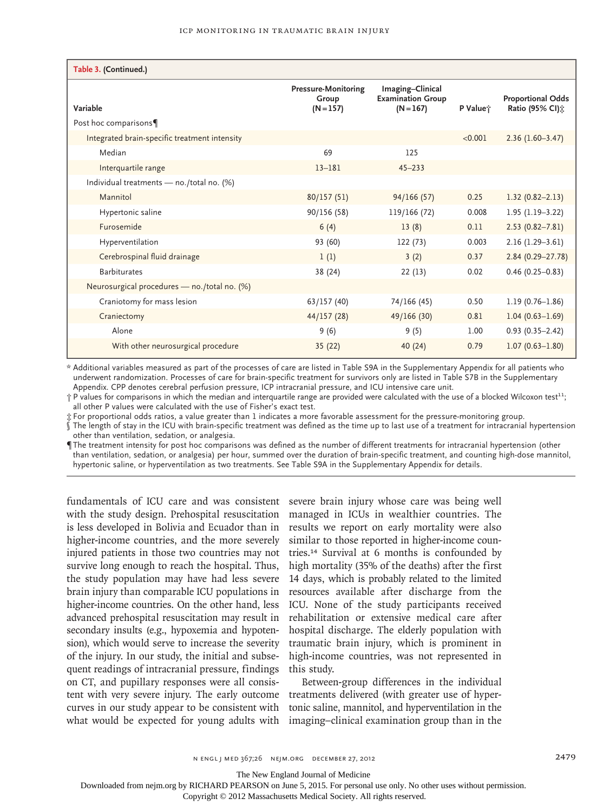| Table 3. (Continued.)                         |                                                    |                                                             |          |                                             |
|-----------------------------------------------|----------------------------------------------------|-------------------------------------------------------------|----------|---------------------------------------------|
| Variable                                      | <b>Pressure-Monitoring</b><br>Group<br>$(N = 157)$ | Imaging-Clinical<br><b>Examination Group</b><br>$(N = 167)$ | P Value; | <b>Proportional Odds</b><br>Ratio (95% CI): |
| Post hoc comparisons¶                         |                                                    |                                                             |          |                                             |
| Integrated brain-specific treatment intensity |                                                    |                                                             | < 0.001  | $2.36(1.60-3.47)$                           |
| Median                                        | 69                                                 | 125                                                         |          |                                             |
| Interquartile range                           | $13 - 181$                                         | $45 - 233$                                                  |          |                                             |
| Individual treatments - no./total no. (%)     |                                                    |                                                             |          |                                             |
| Mannitol                                      | 80/157(51)                                         | 94/166(57)                                                  | 0.25     | $1.32(0.82 - 2.13)$                         |
| Hypertonic saline                             | 90/156(58)                                         | 119/166 (72)                                                | 0.008    | $1.95(1.19-3.22)$                           |
| Furosemide                                    | 6(4)                                               | 13(8)                                                       | 0.11     | $2.53(0.82 - 7.81)$                         |
| Hyperventilation                              | 93 (60)                                            | 122 (73)                                                    | 0.003    | $2.16(1.29-3.61)$                           |
| Cerebrospinal fluid drainage                  | 1(1)                                               | 3(2)                                                        | 0.37     | $2.84(0.29 - 27.78)$                        |
| <b>Barbiturates</b>                           | 38 (24)                                            | 22(13)                                                      | 0.02     | $0.46(0.25 - 0.83)$                         |
| Neurosurgical procedures - no./total no. (%)  |                                                    |                                                             |          |                                             |
| Craniotomy for mass lesion                    | 63/157(40)                                         | 74/166 (45)                                                 | 0.50     | $1.19(0.76 - 1.86)$                         |
| Craniectomy                                   | 44/157(28)                                         | 49/166 (30)                                                 | 0.81     | $1.04(0.63 - 1.69)$                         |
| Alone                                         | 9(6)                                               | 9(5)                                                        | 1.00     | $0.93(0.35 - 2.42)$                         |
| With other neurosurgical procedure            | 35(22)                                             | 40(24)                                                      | 0.79     | $1.07(0.63 - 1.80)$                         |

\* Additional variables measured as part of the processes of care are listed in Table S9A in the Supplementary Appendix for all patients who underwent randomization. Processes of care for brain-specific treatment for survivors only are listed in Table S7B in the Supplementary Appendix. CPP denotes cerebral perfusion pressure, ICP intracranial pressure, and ICU intensive care unit.

 $\uparrow$  P values for comparisons in which the median and interquartile range are provided were calculated with the use of a blocked Wilcoxon test<sup>11</sup>; all other P values were calculated with the use of Fisher's exact test.

‡ For proportional odds ratios, a value greater than 1 indicates a more favorable assessment for the pressure-monitoring group.

§ The length of stay in the ICU with brain-specific treatment was defined as the time up to last use of a treatment for intracranial hypertension other than ventilation, sedation, or analgesia.

¶The treatment intensity for post hoc comparisons was defined as the number of different treatments for intracranial hypertension (other than ventilation, sedation, or analgesia) per hour, summed over the duration of brain-specific treatment, and counting high-dose mannitol, hypertonic saline, or hyperventilation as two treatments. See Table S9A in the Supplementary Appendix for details.

fundamentals of ICU care and was consistent severe brain injury whose care was being well with the study design. Prehospital resuscitation is less developed in Bolivia and Ecuador than in higher-income countries, and the more severely injured patients in those two countries may not survive long enough to reach the hospital. Thus, the study population may have had less severe brain injury than comparable ICU populations in higher-income countries. On the other hand, less advanced prehospital resuscitation may result in secondary insults (e.g., hypoxemia and hypotension), which would serve to increase the severity of the injury. In our study, the initial and subsequent readings of intracranial pressure, findings on CT, and pupillary responses were all consistent with very severe injury. The early outcome treatments delivered (with greater use of hypercurves in our study appear to be consistent with tonic saline, mannitol, and hyperventilation in the

managed in ICUs in wealthier countries. The results we report on early mortality were also similar to those reported in higher-income countries.14 Survival at 6 months is confounded by high mortality (35% of the deaths) after the first 14 days, which is probably related to the limited resources available after discharge from the ICU. None of the study participants received rehabilitation or extensive medical care after hospital discharge. The elderly population with traumatic brain injury, which is prominent in high-income countries, was not represented in this study.

what would be expected for young adults with imaging–clinical examination group than in the Between-group differences in the individual

The New England Journal of Medicine

Downloaded from nejm.org by RICHARD PEARSON on June 5, 2015. For personal use only. No other uses without permission.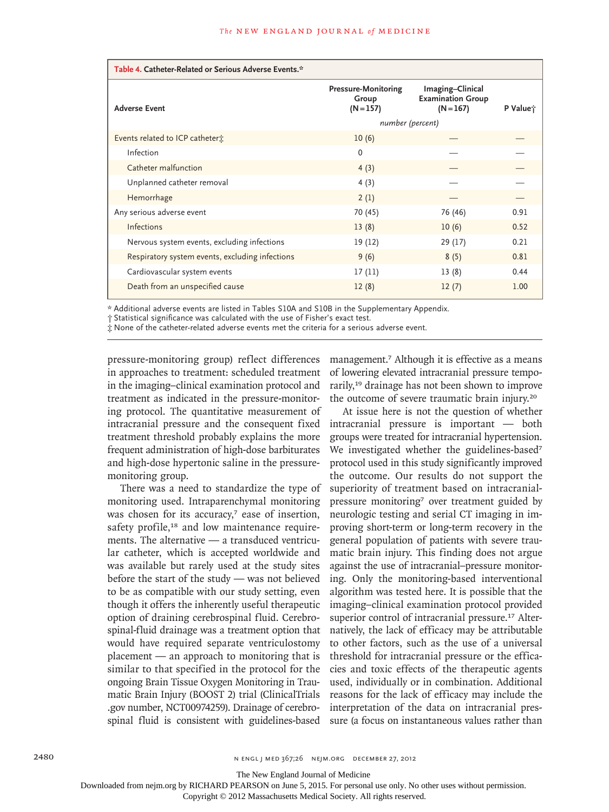| Table 4. Catheter-Related or Serious Adverse Events.* |                                                                        |                                                             |                      |
|-------------------------------------------------------|------------------------------------------------------------------------|-------------------------------------------------------------|----------------------|
| <b>Adverse Event</b>                                  | <b>Pressure-Monitoring</b><br>Group<br>$(N = 157)$<br>number (percent) | Imaging-Clinical<br><b>Examination Group</b><br>$(N = 167)$ | P Value <sup>*</sup> |
| Events related to ICP catheter <sub>1</sub> :         | 10(6)                                                                  |                                                             |                      |
| Infection                                             | $\Omega$                                                               |                                                             |                      |
| Catheter malfunction                                  | 4(3)                                                                   |                                                             |                      |
| Unplanned catheter removal                            | 4(3)                                                                   |                                                             |                      |
| Hemorrhage                                            | 2(1)                                                                   |                                                             |                      |
| Any serious adverse event                             | 70 (45)                                                                | 76 (46)                                                     | 0.91                 |
| <b>Infections</b>                                     | 13(8)                                                                  | 10(6)                                                       | 0.52                 |
| Nervous system events, excluding infections           | 19(12)                                                                 | 29 (17)                                                     | 0.21                 |
| Respiratory system events, excluding infections       | 9(6)                                                                   | 8(5)                                                        | 0.81                 |
| Cardiovascular system events                          | 17(11)                                                                 | 13(8)                                                       | 0.44                 |
| Death from an unspecified cause                       | 12(8)                                                                  | 12(7)                                                       | 1.00                 |

\* Additional adverse events are listed in Tables S10A and S10B in the Supplementary Appendix.

† Statistical significance was calculated with the use of Fisher's exact test.

‡ None of the catheter-related adverse events met the criteria for a serious adverse event.

pressure-monitoring group) reflect differences in approaches to treatment: scheduled treatment in the imaging–clinical examination protocol and treatment as indicated in the pressure-monitoring protocol. The quantitative measurement of intracranial pressure and the consequent fixed treatment threshold probably explains the more frequent administration of high-dose barbiturates and high-dose hypertonic saline in the pressuremonitoring group.

There was a need to standardize the type of monitoring used. Intraparenchymal monitoring was chosen for its accuracy,<sup>7</sup> ease of insertion, safety profile,<sup>18</sup> and low maintenance requirements. The alternative — a transduced ventricular catheter, which is accepted worldwide and was available but rarely used at the study sites before the start of the study — was not believed to be as compatible with our study setting, even though it offers the inherently useful therapeutic option of draining cerebrospinal fluid. Cerebrospinal-fluid drainage was a treatment option that would have required separate ventriculostomy placement — an approach to monitoring that is similar to that specified in the protocol for the ongoing Brain Tissue Oxygen Monitoring in Traumatic Brain Injury (BOOST 2) trial (ClinicalTrials .gov number, NCT00974259). Drainage of cerebrospinal fluid is consistent with guidelines-based

management.<sup>7</sup> Although it is effective as a means of lowering elevated intracranial pressure temporarily,<sup>19</sup> drainage has not been shown to improve the outcome of severe traumatic brain injury.<sup>20</sup>

At issue here is not the question of whether intracranial pressure is important — both groups were treated for intracranial hypertension. We investigated whether the guidelines-based<sup>7</sup> protocol used in this study significantly improved the outcome. Our results do not support the superiority of treatment based on intracranialpressure monitoring<sup>7</sup> over treatment guided by neurologic testing and serial CT imaging in improving short-term or long-term recovery in the general population of patients with severe traumatic brain injury. This finding does not argue against the use of intracranial–pressure monitoring. Only the monitoring-based interventional algorithm was tested here. It is possible that the imaging–clinical examination protocol provided superior control of intracranial pressure.<sup>17</sup> Alternatively, the lack of efficacy may be attributable to other factors, such as the use of a universal threshold for intracranial pressure or the efficacies and toxic effects of the therapeutic agents used, individually or in combination. Additional reasons for the lack of efficacy may include the interpretation of the data on intracranial pressure (a focus on instantaneous values rather than

2480 n engl j med 367;26 nejm.org december 27, 2012

The New England Journal of Medicine

Downloaded from nejm.org by RICHARD PEARSON on June 5, 2015. For personal use only. No other uses without permission.